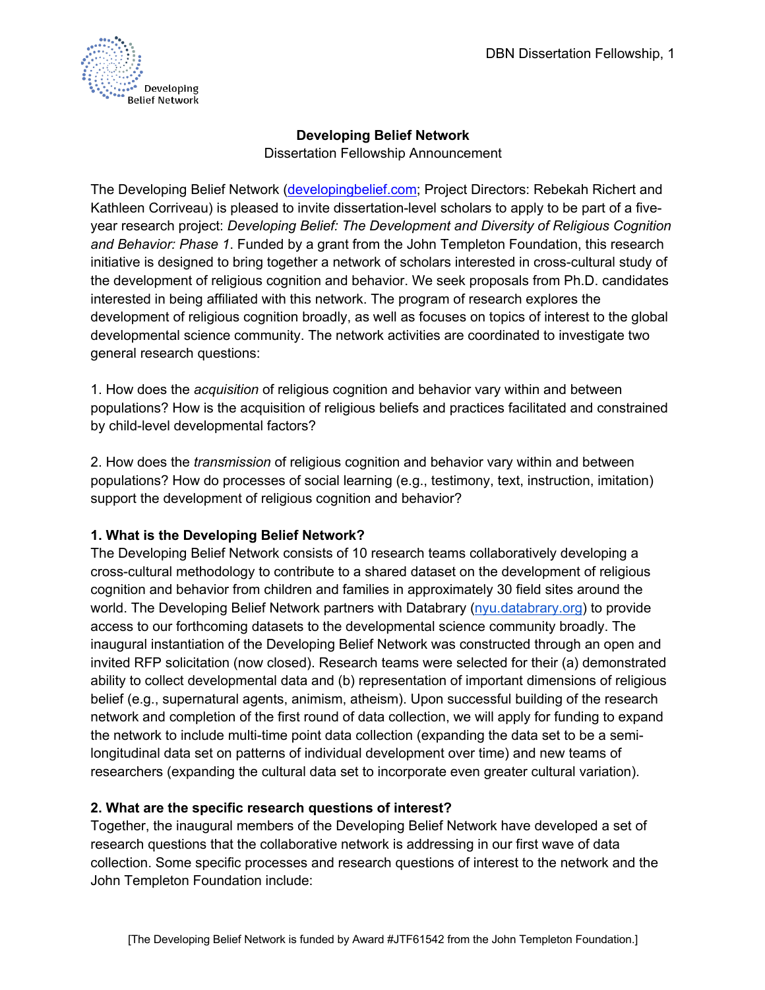

# **Developing Belief Network**

Dissertation Fellowship Announcement

The Developing Belief Network (developingbelief.com; Project Directors: Rebekah Richert and Kathleen Corriveau) is pleased to invite dissertation-level scholars to apply to be part of a fiveyear research project: *Developing Belief: The Development and Diversity of Religious Cognition and Behavior: Phase 1*. Funded by a grant from the John Templeton Foundation, this research initiative is designed to bring together a network of scholars interested in cross-cultural study of the development of religious cognition and behavior. We seek proposals from Ph.D. candidates interested in being affiliated with this network. The program of research explores the development of religious cognition broadly, as well as focuses on topics of interest to the global developmental science community. The network activities are coordinated to investigate two general research questions:

1. How does the *acquisition* of religious cognition and behavior vary within and between populations? How is the acquisition of religious beliefs and practices facilitated and constrained by child-level developmental factors?

2. How does the *transmission* of religious cognition and behavior vary within and between populations? How do processes of social learning (e.g., testimony, text, instruction, imitation) support the development of religious cognition and behavior?

# **1. What is the Developing Belief Network?**

The Developing Belief Network consists of 10 research teams collaboratively developing a cross-cultural methodology to contribute to a shared dataset on the development of religious cognition and behavior from children and families in approximately 30 field sites around the world. The Developing Belief Network partners with Databrary (nyu.databrary.org) to provide access to our forthcoming datasets to the developmental science community broadly. The inaugural instantiation of the Developing Belief Network was constructed through an open and invited RFP solicitation (now closed). Research teams were selected for their (a) demonstrated ability to collect developmental data and (b) representation of important dimensions of religious belief (e.g., supernatural agents, animism, atheism). Upon successful building of the research network and completion of the first round of data collection, we will apply for funding to expand the network to include multi-time point data collection (expanding the data set to be a semilongitudinal data set on patterns of individual development over time) and new teams of researchers (expanding the cultural data set to incorporate even greater cultural variation).

# **2. What are the specific research questions of interest?**

Together, the inaugural members of the Developing Belief Network have developed a set of research questions that the collaborative network is addressing in our first wave of data collection. Some specific processes and research questions of interest to the network and the John Templeton Foundation include: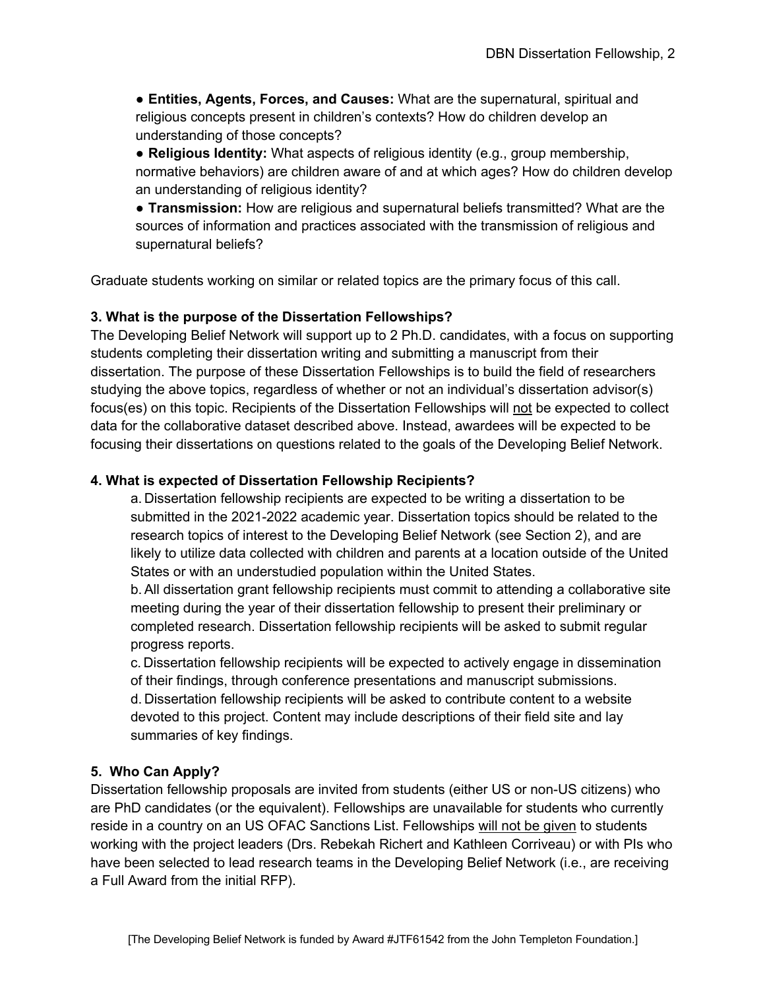● **Entities, Agents, Forces, and Causes:** What are the supernatural, spiritual and religious concepts present in children's contexts? How do children develop an understanding of those concepts?

● **Religious Identity:** What aspects of religious identity (e.g., group membership, normative behaviors) are children aware of and at which ages? How do children develop an understanding of religious identity?

● **Transmission:** How are religious and supernatural beliefs transmitted? What are the sources of information and practices associated with the transmission of religious and supernatural beliefs?

Graduate students working on similar or related topics are the primary focus of this call.

#### **3. What is the purpose of the Dissertation Fellowships?**

The Developing Belief Network will support up to 2 Ph.D. candidates, with a focus on supporting students completing their dissertation writing and submitting a manuscript from their dissertation. The purpose of these Dissertation Fellowships is to build the field of researchers studying the above topics, regardless of whether or not an individual's dissertation advisor(s) focus(es) on this topic. Recipients of the Dissertation Fellowships will not be expected to collect data for the collaborative dataset described above. Instead, awardees will be expected to be focusing their dissertations on questions related to the goals of the Developing Belief Network.

#### **4. What is expected of Dissertation Fellowship Recipients?**

a. Dissertation fellowship recipients are expected to be writing a dissertation to be submitted in the 2021-2022 academic year. Dissertation topics should be related to the research topics of interest to the Developing Belief Network (see Section 2), and are likely to utilize data collected with children and parents at a location outside of the United States or with an understudied population within the United States.

b.All dissertation grant fellowship recipients must commit to attending a collaborative site meeting during the year of their dissertation fellowship to present their preliminary or completed research. Dissertation fellowship recipients will be asked to submit regular progress reports.

c. Dissertation fellowship recipients will be expected to actively engage in dissemination of their findings, through conference presentations and manuscript submissions. d. Dissertation fellowship recipients will be asked to contribute content to a website devoted to this project. Content may include descriptions of their field site and lay summaries of key findings.

#### **5. Who Can Apply?**

Dissertation fellowship proposals are invited from students (either US or non-US citizens) who are PhD candidates (or the equivalent). Fellowships are unavailable for students who currently reside in a country on an US OFAC Sanctions List. Fellowships will not be given to students working with the project leaders (Drs. Rebekah Richert and Kathleen Corriveau) or with PIs who have been selected to lead research teams in the Developing Belief Network (i.e., are receiving a Full Award from the initial RFP).